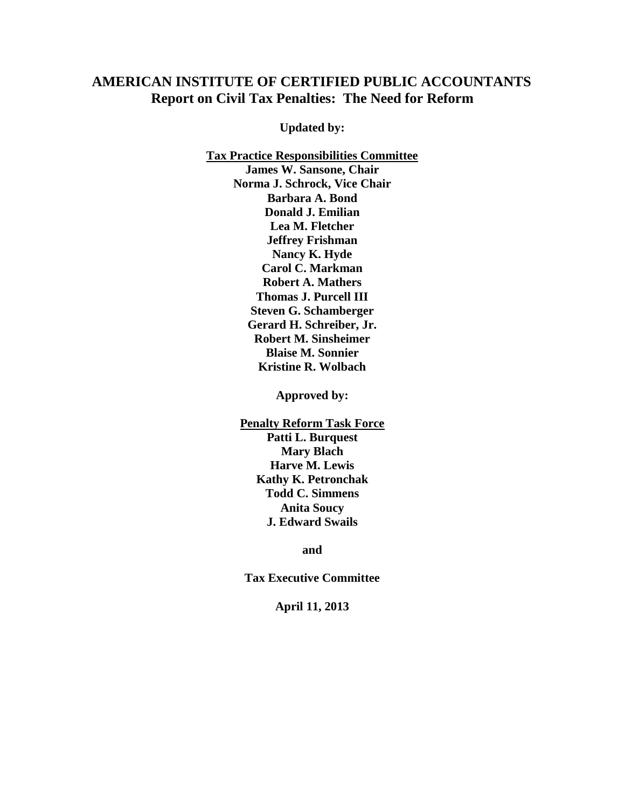# **AMERICAN INSTITUTE OF CERTIFIED PUBLIC ACCOUNTANTS Report on Civil Tax Penalties: The Need for Reform**

**Updated by:**

**Tax Practice Responsibilities Committee James W. Sansone, Chair Norma J. Schrock, Vice Chair Barbara A. Bond Donald J. Emilian Lea M. Fletcher Jeffrey Frishman Nancy K. Hyde Carol C. Markman Robert A. Mathers Thomas J. Purcell III Steven G. Schamberger Gerard H. Schreiber, Jr. Robert M. Sinsheimer Blaise M. Sonnier Kristine R. Wolbach**

**Approved by:**

**Penalty Reform Task Force Patti L. Burquest Mary Blach Harve M. Lewis Kathy K. Petronchak Todd C. Simmens Anita Soucy J. Edward Swails**

**and**

**Tax Executive Committee** 

**April 11, 2013**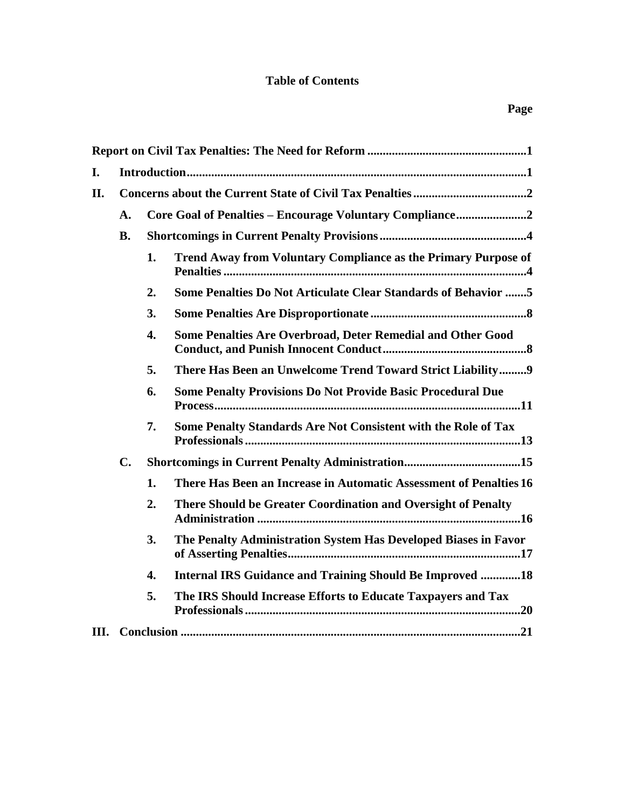# **Table of Contents**

| I.  |                | Introduction 3   |                                                                    |  |
|-----|----------------|------------------|--------------------------------------------------------------------|--|
| II. |                |                  |                                                                    |  |
|     | $\mathbf{A}$ . |                  | Core Goal of Penalties - Encourage Voluntary Compliance2           |  |
|     | <b>B.</b>      |                  |                                                                    |  |
|     |                | 1.               | Trend Away from Voluntary Compliance as the Primary Purpose of     |  |
|     |                | 2.               | Some Penalties Do Not Articulate Clear Standards of Behavior 5     |  |
|     |                | 3.               |                                                                    |  |
|     |                | $\overline{4}$ . | Some Penalties Are Overbroad, Deter Remedial and Other Good        |  |
|     |                | 5.               | There Has Been an Unwelcome Trend Toward Strict Liability9         |  |
|     |                | 6.               | <b>Some Penalty Provisions Do Not Provide Basic Procedural Due</b> |  |
|     |                | 7.               | Some Penalty Standards Are Not Consistent with the Role of Tax     |  |
|     | $C_{\bullet}$  |                  |                                                                    |  |
|     |                | 1.               | There Has Been an Increase in Automatic Assessment of Penalties 16 |  |
|     |                | 2.               | There Should be Greater Coordination and Oversight of Penalty      |  |
|     |                | 3.               | The Penalty Administration System Has Developed Biases in Favor    |  |
|     |                | 4.               | <b>Internal IRS Guidance and Training Should Be Improved 18</b>    |  |
|     |                | 5.               | The IRS Should Increase Efforts to Educate Taxpayers and Tax       |  |
| Ш.  |                |                  |                                                                    |  |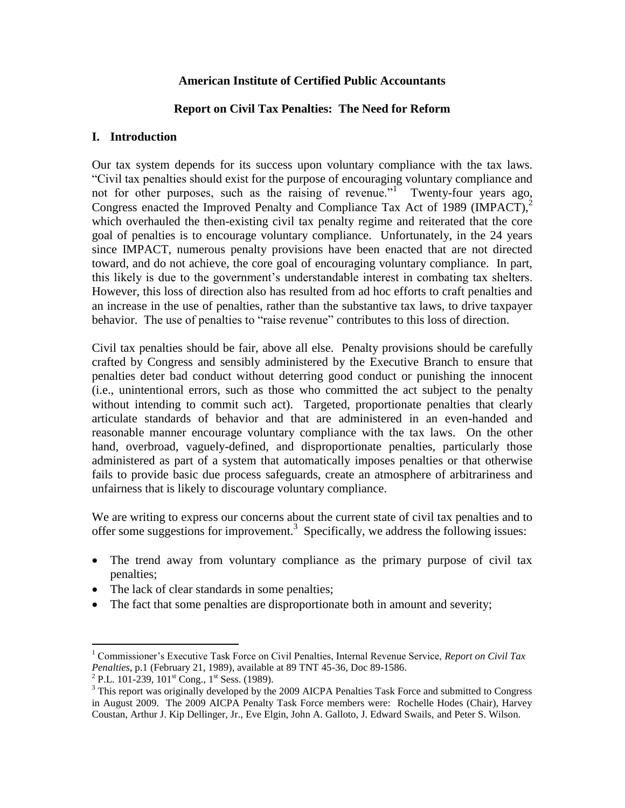## **American Institute of Certified Public Accountants**

## **Report on Civil Tax Penalties: The Need for Reform**

#### **I. Introduction**

Our tax system depends for its success upon voluntary compliance with the tax laws. "Civil tax penalties should exist for the purpose of encouraging voluntary compliance and not for other purposes, such as the raising of revenue."<sup>1</sup> Twenty-four years ago, Congress enacted the Improved Penalty and Compliance Tax Act of 1989 (IMPACT), $^{2}$ which overhauled the then-existing civil tax penalty regime and reiterated that the core goal of penalties is to encourage voluntary compliance. Unfortunately, in the 24 years since IMPACT, numerous penalty provisions have been enacted that are not directed toward, and do not achieve, the core goal of encouraging voluntary compliance. In part, this likely is due to the government's understandable interest in combating tax shelters. However, this loss of direction also has resulted from ad hoc efforts to craft penalties and an increase in the use of penalties, rather than the substantive tax laws, to drive taxpayer behavior. The use of penalties to "raise revenue" contributes to this loss of direction.

Civil tax penalties should be fair, above all else. Penalty provisions should be carefully crafted by Congress and sensibly administered by the Executive Branch to ensure that penalties deter bad conduct without deterring good conduct or punishing the innocent (i.e., unintentional errors, such as those who committed the act subject to the penalty without intending to commit such act). Targeted, proportionate penalties that clearly articulate standards of behavior and that are administered in an even-handed and reasonable manner encourage voluntary compliance with the tax laws. On the other hand, overbroad, vaguely-defined, and disproportionate penalties, particularly those administered as part of a system that automatically imposes penalties or that otherwise fails to provide basic due process safeguards, create an atmosphere of arbitrariness and unfairness that is likely to discourage voluntary compliance.

We are writing to express our concerns about the current state of civil tax penalties and to offer some suggestions for improvement.<sup>3</sup> Specifically, we address the following issues:

- The trend away from voluntary compliance as the primary purpose of civil tax penalties;
- The lack of clear standards in some penalties;
- The fact that some penalties are disproportionate both in amount and severity;

<sup>1</sup> Commissioner's Executive Task Force on Civil Penalties, Internal Revenue Service, *Report on Civil Tax Penalties*, p.1 (February 21, 1989), available at 89 TNT 45-36, Doc 89-1586.

<sup>&</sup>lt;sup>2</sup> P.L. 101-239, 101<sup>st</sup> Cong., 1<sup>st</sup> Sess. (1989).

<sup>&</sup>lt;sup>3</sup> This report was originally developed by the 2009 AICPA Penalties Task Force and submitted to Congress in August 2009. The 2009 AICPA Penalty Task Force members were: Rochelle Hodes (Chair), Harvey Coustan, Arthur J. Kip Dellinger, Jr., Eve Elgin, John A. Galloto, J. Edward Swails, and Peter S. Wilson.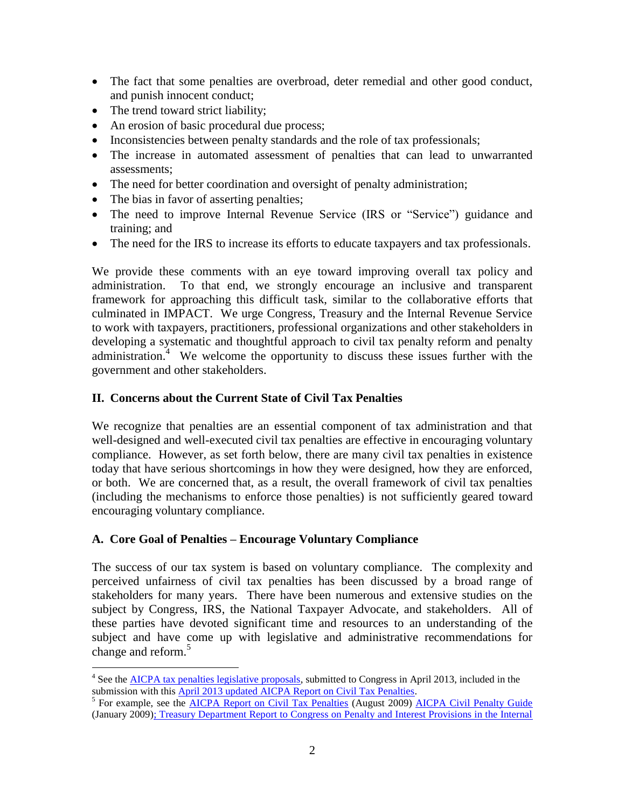- The fact that some penalties are overbroad, deter remedial and other good conduct, and punish innocent conduct;
- The trend toward strict liability;
- An erosion of basic procedural due process;
- Inconsistencies between penalty standards and the role of tax professionals;
- The increase in automated assessment of penalties that can lead to unwarranted assessments;
- The need for better coordination and oversight of penalty administration;
- The bias in favor of asserting penalties;
- The need to improve Internal Revenue Service (IRS or "Service") guidance and training; and
- The need for the IRS to increase its efforts to educate taxpayers and tax professionals.

We provide these comments with an eye toward improving overall tax policy and administration. To that end, we strongly encourage an inclusive and transparent framework for approaching this difficult task, similar to the collaborative efforts that culminated in IMPACT. We urge Congress, Treasury and the Internal Revenue Service to work with taxpayers, practitioners, professional organizations and other stakeholders in developing a systematic and thoughtful approach to civil tax penalty reform and penalty administration.<sup>4</sup> We welcome the opportunity to discuss these issues further with the government and other stakeholders.

## **II. Concerns about the Current State of Civil Tax Penalties**

We recognize that penalties are an essential component of tax administration and that well-designed and well-executed civil tax penalties are effective in encouraging voluntary compliance. However, as set forth below, there are many civil tax penalties in existence today that have serious shortcomings in how they were designed, how they are enforced, or both. We are concerned that, as a result, the overall framework of civil tax penalties (including the mechanisms to enforce those penalties) is not sufficiently geared toward encouraging voluntary compliance.

#### **A. Core Goal of Penalties – Encourage Voluntary Compliance**

The success of our tax system is based on voluntary compliance. The complexity and perceived unfairness of civil tax penalties has been discussed by a broad range of stakeholders for many years. There have been numerous and extensive studies on the subject by Congress, IRS, the National Taxpayer Advocate, and stakeholders. All of these parties have devoted significant time and resources to an understanding of the subject and have come up with legislative and administrative recommendations for change and reform.<sup>5</sup>

<sup>5</sup> For example, see the **AICPA Report on Civil Tax Penalties** (August 2009) **AICPA Civil Penalty Guide** (January 2009[\); Treasury Department Report to Congress on Penalty and Interest Provisions in the Internal](http://www.treasury.gov/resource-center/tax-policy/Documents/intpenal.pdf) 

 $\overline{a}$ <sup>4</sup> See the **AICPA** tax penalties legislative proposals, submitted to Congress in April 2013, included in the submission with this April 2013 updated AICPA Report on Civil Tax Penalties.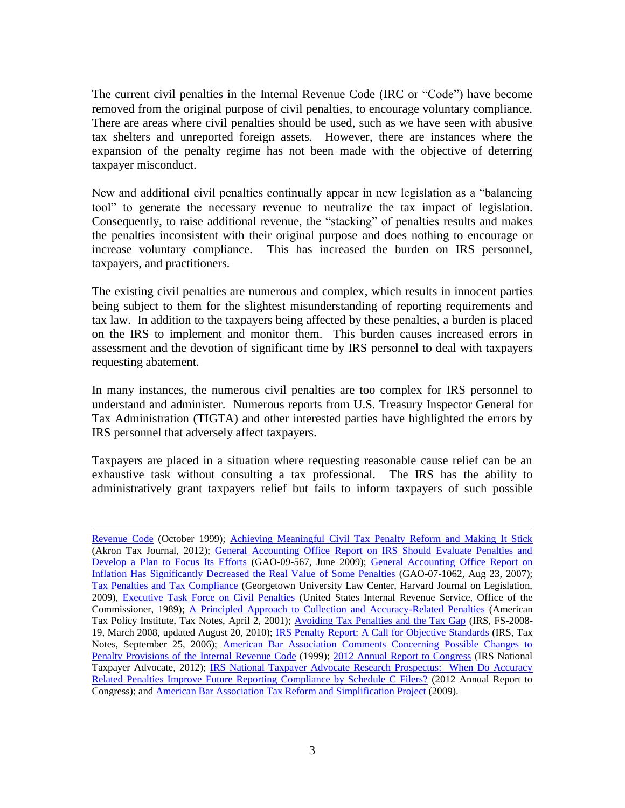The current civil penalties in the Internal Revenue Code (IRC or "Code") have become removed from the original purpose of civil penalties, to encourage voluntary compliance. There are areas where civil penalties should be used, such as we have seen with abusive tax shelters and unreported foreign assets. However, there are instances where the expansion of the penalty regime has not been made with the objective of deterring taxpayer misconduct.

New and additional civil penalties continually appear in new legislation as a "balancing tool" to generate the necessary revenue to neutralize the tax impact of legislation. Consequently, to raise additional revenue, the "stacking" of penalties results and makes the penalties inconsistent with their original purpose and does nothing to encourage or increase voluntary compliance. This has increased the burden on IRS personnel, taxpayers, and practitioners.

The existing civil penalties are numerous and complex, which results in innocent parties being subject to them for the slightest misunderstanding of reporting requirements and tax law. In addition to the taxpayers being affected by these penalties, a burden is placed on the IRS to implement and monitor them. This burden causes increased errors in assessment and the devotion of significant time by IRS personnel to deal with taxpayers requesting abatement.

In many instances, the numerous civil penalties are too complex for IRS personnel to understand and administer. Numerous reports from U.S. Treasury Inspector General for Tax Administration (TIGTA) and other interested parties have highlighted the errors by IRS personnel that adversely affect taxpayers.

Taxpayers are placed in a situation where requesting reasonable cause relief can be an exhaustive task without consulting a tax professional. The IRS has the ability to administratively grant taxpayers relief but fails to inform taxpayers of such possible

[Revenue Code](http://www.treasury.gov/resource-center/tax-policy/Documents/intpenal.pdf) (October 1999); [Achieving Meaningful Civil Tax Penalty Reform and Making It Stick](http://www.uakron.edu/dotAsset/7ef324dc-259e-46b9-8cc4-0ab61ebf057f.pdf) (Akron Tax Journal, 2012); General Accounting Office Report on IRS Should Evaluate Penalties and [Develop a Plan to Focus Its Efforts](http://www.gao.gov/new.items/d09567.pdf) (GAO-09-567, June 2009); [General Accounting Office Report on](http://www.gao.gov/assets/270/265624.pdf)  [Inflation Has Significantly Decreased the Real Value of Some Penalties](http://www.gao.gov/assets/270/265624.pdf) (GAO-07-1062, Aug 23, 2007); [Tax Penalties and Tax Compliance](http://scholarship.law.georgetown.edu/cgi/viewcontent.cgi?article=1918&context=facpub&sei-redir=1&referer=http%3A%2F%2Fwww.google.com%2Furl%3Fsa%3Dt%26rct%3Dj%26q%3Dcivil%2520tax%2520penalties%2520reports%26source%3Dweb%26cd%3D15%26ved%3D0CFkQFjAEOAo%26url%3Dhttp%253A%252F%252Fscholarship.law.georgetown.edu%252Fcgi%252Fviewcontent.cgi%253Farticle%253D1918%2526context%253Dfacpub%26ei%3D3eJLUYmxLo-e9QSet4GwCw%26usg%3DAFQjCNHBf0hR-ICqPucbu3PHxW0uP_mTJA#search=%22civil%20tax%20penalties%20reports%22) (Georgetown University Law Center, Harvard Journal on Legislation, 2009), [Executive Task Force on Civil Penalties](http://books.google.com/books?id=HNJjPQAACAAJ&dq=inauthor:%22United+States.+Internal+Revenue+Service.+Office+of+the+Commissioner.+Executive+Task+Force+on+Civil+Penalties%22&hl=en&sa=X&ei=3eVLUcixCI7i8gSJsoHYDw&ved=0CDoQ6wEwAA) (United States Internal Revenue Service, Office of the Commissioner, 1989); [A Principled Approach to Collection and Accuracy-Related Penalties](http://www.americantaxpolicyinstitute.org/pdf/stark.pdf) (American Tax Policy Institute, Tax Notes, April 2, 2001); [Avoiding Tax Penalties and the Tax Gap](http://www.irs.gov/uac/Avoiding-Penalties-and-the-Tax-Gap) (IRS, FS-2008-19, March 2008, updated August 20, 2010); [IRS Penalty Report: A Call for Objective Standards](http://papers.ssrn.com/sol3/papers.cfm?abstract_id=966450) (IRS, Tax Notes, September 25, 2006); [American Bar Association Comments Concerning Possible Changes to](http://www.americanbar.org/groups/taxation/policy/public_policy/provisions12.html)  [Penalty Provisions of the Internal Revenue Code](http://www.americanbar.org/groups/taxation/policy/public_policy/provisions12.html) (1999); [2012 Annual Report to Congress](http://www.taxpayeradvocate.irs.gov/2012-Annual-Report/FY-2012-Annual-Report-To-Congress-Full-Report) (IRS National Taxpayer Advocate, 2012); [IRS National Taxpayer Advocate Research Prospectus: When Do Accuracy](http://www.taxpayeradvocate.irs.gov/userfiles/file/Full-Report/Research-Studies-When-do-Accuracy-Related-Penalties-Improve-Future-Reporting-Compliance-by-Schedule-C-Filers-A-Research-Prospectus.pdf)  [Related Penalties Improve Future Reporting Compliance by Schedule C Filers?](http://www.taxpayeradvocate.irs.gov/userfiles/file/Full-Report/Research-Studies-When-do-Accuracy-Related-Penalties-Improve-Future-Reporting-Compliance-by-Schedule-C-Filers-A-Research-Prospectus.pdf) (2012 Annual Report to Congress); and [American Bar Association Tax Reform and Simplification Project](http://www.americanbar.org/content/dam/aba/events/taxation/taxiq-fall11-colvin-taxreformcomments.authcheckdam.pdf) (2009).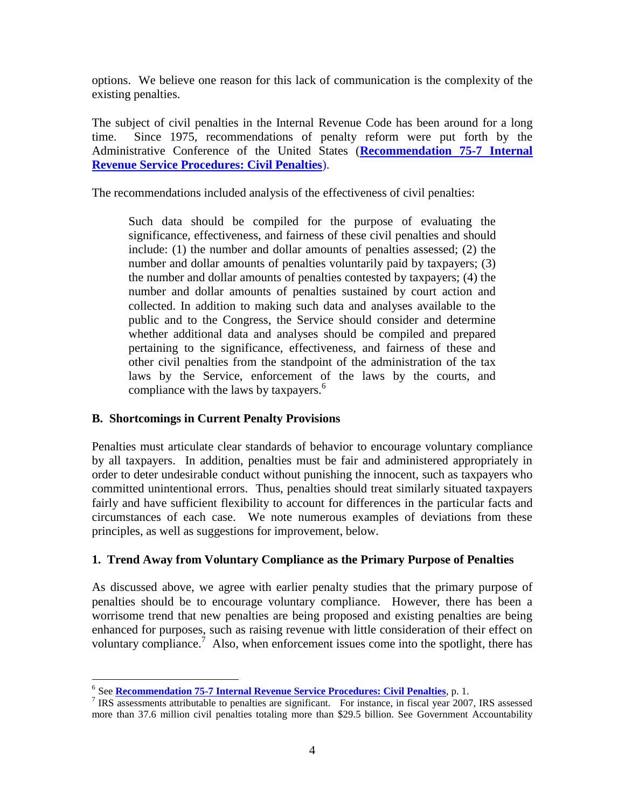options. We believe one reason for this lack of communication is the complexity of the existing penalties.

The subject of civil penalties in the Internal Revenue Code has been around for a long time. Since 1975, recommendations of penalty reform were put forth by the Administrative Conference of the United States (**[Recommendation 75-7 Internal](http://www.acus.gov/sites/default/files/documents/75-7-with-table.pdf)  [Revenue Service Procedures: Civil Penalties](http://www.acus.gov/sites/default/files/documents/75-7-with-table.pdf)**).

The recommendations included analysis of the effectiveness of civil penalties:

Such data should be compiled for the purpose of evaluating the significance, effectiveness, and fairness of these civil penalties and should include: (1) the number and dollar amounts of penalties assessed; (2) the number and dollar amounts of penalties voluntarily paid by taxpayers; (3) the number and dollar amounts of penalties contested by taxpayers; (4) the number and dollar amounts of penalties sustained by court action and collected. In addition to making such data and analyses available to the public and to the Congress, the Service should consider and determine whether additional data and analyses should be compiled and prepared pertaining to the significance, effectiveness, and fairness of these and other civil penalties from the standpoint of the administration of the tax laws by the Service, enforcement of the laws by the courts, and compliance with the laws by taxpayers.<sup>6</sup>

# **B. Shortcomings in Current Penalty Provisions**

 $\overline{a}$ 

Penalties must articulate clear standards of behavior to encourage voluntary compliance by all taxpayers. In addition, penalties must be fair and administered appropriately in order to deter undesirable conduct without punishing the innocent, such as taxpayers who committed unintentional errors. Thus, penalties should treat similarly situated taxpayers fairly and have sufficient flexibility to account for differences in the particular facts and circumstances of each case. We note numerous examples of deviations from these principles, as well as suggestions for improvement, below.

# **1. Trend Away from Voluntary Compliance as the Primary Purpose of Penalties**

As discussed above, we agree with earlier penalty studies that the primary purpose of penalties should be to encourage voluntary compliance. However, there has been a worrisome trend that new penalties are being proposed and existing penalties are being enhanced for purposes, such as raising revenue with little consideration of their effect on voluntary compliance.<sup>7</sup> Also, when enforcement issues come into the spotlight, there has

<sup>6</sup> See **[Recommendation 75-7 Internal Revenue Service Procedures: Civil Penalties](http://www.acus.gov/sites/default/files/documents/75-7-with-table.pdf)**, p. 1.

<sup>&</sup>lt;sup>7</sup> IRS assessments attributable to penalties are significant. For instance, in fiscal year 2007, IRS assessed more than 37.6 million civil penalties totaling more than \$29.5 billion. See Government Accountability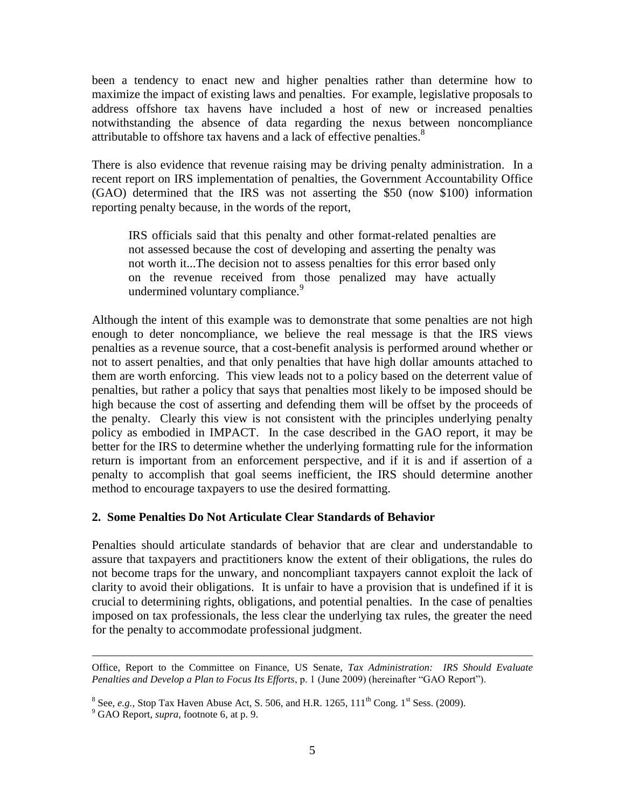been a tendency to enact new and higher penalties rather than determine how to maximize the impact of existing laws and penalties. For example, legislative proposals to address offshore tax havens have included a host of new or increased penalties notwithstanding the absence of data regarding the nexus between noncompliance attributable to offshore tax havens and a lack of effective penalties.<sup>8</sup>

There is also evidence that revenue raising may be driving penalty administration. In a recent report on IRS implementation of penalties, the Government Accountability Office (GAO) determined that the IRS was not asserting the \$50 (now \$100) information reporting penalty because, in the words of the report,

IRS officials said that this penalty and other format-related penalties are not assessed because the cost of developing and asserting the penalty was not worth it...The decision not to assess penalties for this error based only on the revenue received from those penalized may have actually undermined voluntary compliance.<sup>9</sup>

Although the intent of this example was to demonstrate that some penalties are not high enough to deter noncompliance, we believe the real message is that the IRS views penalties as a revenue source, that a cost-benefit analysis is performed around whether or not to assert penalties, and that only penalties that have high dollar amounts attached to them are worth enforcing. This view leads not to a policy based on the deterrent value of penalties, but rather a policy that says that penalties most likely to be imposed should be high because the cost of asserting and defending them will be offset by the proceeds of the penalty. Clearly this view is not consistent with the principles underlying penalty policy as embodied in IMPACT. In the case described in the GAO report, it may be better for the IRS to determine whether the underlying formatting rule for the information return is important from an enforcement perspective, and if it is and if assertion of a penalty to accomplish that goal seems inefficient, the IRS should determine another method to encourage taxpayers to use the desired formatting.

#### **2. Some Penalties Do Not Articulate Clear Standards of Behavior**

Penalties should articulate standards of behavior that are clear and understandable to assure that taxpayers and practitioners know the extent of their obligations, the rules do not become traps for the unwary, and noncompliant taxpayers cannot exploit the lack of clarity to avoid their obligations. It is unfair to have a provision that is undefined if it is crucial to determining rights, obligations, and potential penalties. In the case of penalties imposed on tax professionals, the less clear the underlying tax rules, the greater the need for the penalty to accommodate professional judgment.

Office, Report to the Committee on Finance, US Senate, *Tax Administration: IRS Should Evaluate Penalties and Develop a Plan to Focus Its Efforts*, p. 1 (June 2009) (hereinafter "GAO Report").

<sup>&</sup>lt;sup>8</sup> See, *e.g.*, Stop Tax Haven Abuse Act, S. 506, and H.R. 1265,  $111<sup>th</sup>$  Cong. 1<sup>st</sup> Sess. (2009).

<sup>9</sup> GAO Report, *supra*, footnote 6, at p. 9.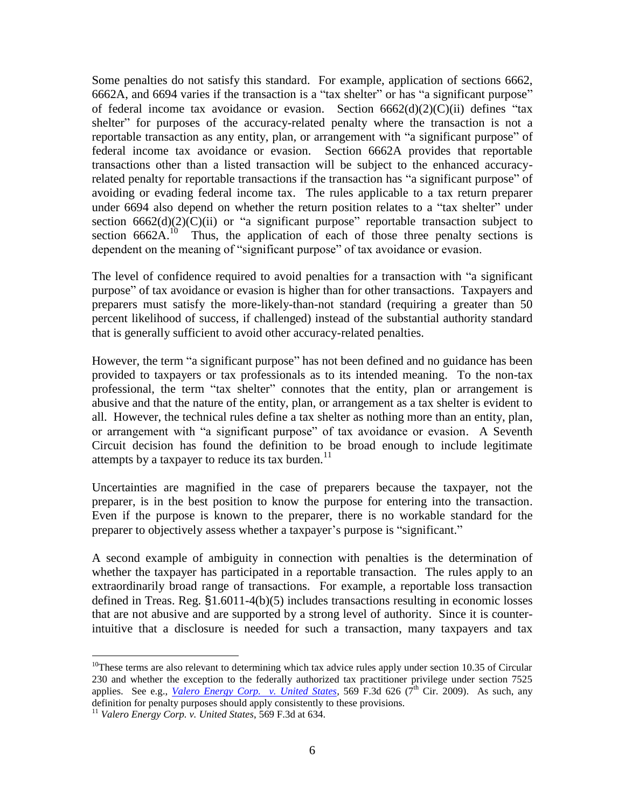Some penalties do not satisfy this standard. For example, application of sections 6662, 6662A, and 6694 varies if the transaction is a "tax shelter" or has "a significant purpose" of federal income tax avoidance or evasion. Section  $6662(d)(2)(C)(ii)$  defines "tax shelter" for purposes of the accuracy-related penalty where the transaction is not a reportable transaction as any entity, plan, or arrangement with "a significant purpose" of federal income tax avoidance or evasion. Section 6662A provides that reportable transactions other than a listed transaction will be subject to the enhanced accuracyrelated penalty for reportable transactions if the transaction has "a significant purpose" of avoiding or evading federal income tax. The rules applicable to a tax return preparer under 6694 also depend on whether the return position relates to a "tax shelter" under section  $6662(d)(2)(C)(ii)$  or "a significant purpose" reportable transaction subject to section  $6662A<sup>10</sup>$  Thus, the application of each of those three penalty sections is dependent on the meaning of "significant purpose" of tax avoidance or evasion.

The level of confidence required to avoid penalties for a transaction with "a significant purpose" of tax avoidance or evasion is higher than for other transactions. Taxpayers and preparers must satisfy the more-likely-than-not standard (requiring a greater than 50 percent likelihood of success, if challenged) instead of the substantial authority standard that is generally sufficient to avoid other accuracy-related penalties.

However, the term "a significant purpose" has not been defined and no guidance has been provided to taxpayers or tax professionals as to its intended meaning. To the non-tax professional, the term "tax shelter" connotes that the entity, plan or arrangement is abusive and that the nature of the entity, plan, or arrangement as a tax shelter is evident to all. However, the technical rules define a tax shelter as nothing more than an entity, plan, or arrangement with "a significant purpose" of tax avoidance or evasion. A Seventh Circuit decision has found the definition to be broad enough to include legitimate attempts by a taxpayer to reduce its tax burden. $11$ 

Uncertainties are magnified in the case of preparers because the taxpayer, not the preparer, is in the best position to know the purpose for entering into the transaction. Even if the purpose is known to the preparer, there is no workable standard for the preparer to objectively assess whether a taxpayer's purpose is "significant."

A second example of ambiguity in connection with penalties is the determination of whether the taxpayer has participated in a reportable transaction. The rules apply to an extraordinarily broad range of transactions. For example, a reportable loss transaction defined in Treas. Reg. §1.6011-4(b)(5) includes transactions resulting in economic losses that are not abusive and are supported by a strong level of authority. Since it is counterintuitive that a disclosure is needed for such a transaction, many taxpayers and tax

 $10$ These terms are also relevant to determining which tax advice rules apply under section 10.35 of Circular 230 and whether the exception to the federally authorized tax practitioner privilege under section 7525 applies. See e.g., *[Valero Energy Corp. v. United States,](http://scholar.google.com/scholar_case?case=15526083473623925155&hl=en&as_sdt=2&as_vis=1&oi=scholarr)* 569 F.3d 626 ( $7^{th}$  Cir. 2009). As such, any definition for penalty purposes should apply consistently to these provisions.

<sup>11</sup> *Valero Energy Corp. v. United States*, 569 F.3d at 634.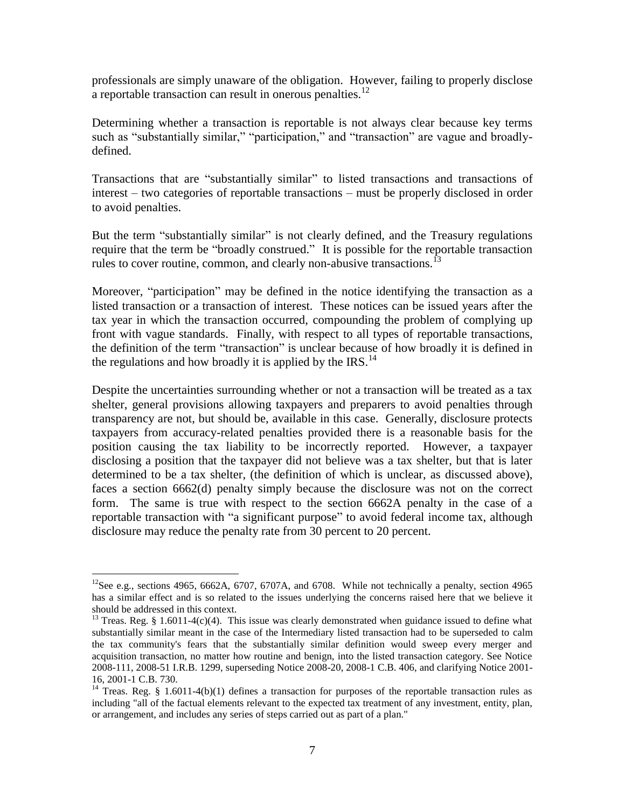professionals are simply unaware of the obligation. However, failing to properly disclose a reportable transaction can result in onerous penalties.<sup>12</sup>

Determining whether a transaction is reportable is not always clear because key terms such as "substantially similar," "participation," and "transaction" are vague and broadlydefined.

Transactions that are "substantially similar" to listed transactions and transactions of interest – two categories of reportable transactions – must be properly disclosed in order to avoid penalties.

But the term "substantially similar" is not clearly defined, and the Treasury regulations require that the term be "broadly construed." It is possible for the reportable transaction rules to cover routine, common, and clearly non-abusive transactions.<sup>13</sup>

Moreover, "participation" may be defined in the notice identifying the transaction as a listed transaction or a transaction of interest. These notices can be issued years after the tax year in which the transaction occurred, compounding the problem of complying up front with vague standards. Finally, with respect to all types of reportable transactions, the definition of the term "transaction" is unclear because of how broadly it is defined in the regulations and how broadly it is applied by the IRS.<sup>14</sup>

Despite the uncertainties surrounding whether or not a transaction will be treated as a tax shelter, general provisions allowing taxpayers and preparers to avoid penalties through transparency are not, but should be, available in this case. Generally, disclosure protects taxpayers from accuracy-related penalties provided there is a reasonable basis for the position causing the tax liability to be incorrectly reported. However, a taxpayer disclosing a position that the taxpayer did not believe was a tax shelter, but that is later determined to be a tax shelter, (the definition of which is unclear, as discussed above), faces a section 6662(d) penalty simply because the disclosure was not on the correct form. The same is true with respect to the section 6662A penalty in the case of a reportable transaction with "a significant purpose" to avoid federal income tax, although disclosure may reduce the penalty rate from 30 percent to 20 percent.

<sup>&</sup>lt;sup>12</sup>See e.g., sections 4965, 6662A, 6707, 6707A, and 6708. While not technically a penalty, section 4965 has a similar effect and is so related to the issues underlying the concerns raised here that we believe it should be addressed in this context.

<sup>&</sup>lt;sup>13</sup> Treas. Reg. § 1.6011-4(c)(4). This issue was clearly demonstrated when guidance issued to define what substantially similar meant in the case of the Intermediary listed transaction had to be superseded to calm the tax community's fears that the substantially similar definition would sweep every merger and acquisition transaction, no matter how routine and benign, into the listed transaction category. See Notice 2008-111, 2008-51 I.R.B. 1299, superseding Notice 2008-20, 2008-1 C.B. 406, and clarifying Notice 2001- 16, 2001-1 C.B. 730.

<sup>&</sup>lt;sup>14</sup> Treas. Reg. § 1.6011-4(b)(1) defines a transaction for purposes of the reportable transaction rules as including "all of the factual elements relevant to the expected tax treatment of any investment, entity, plan, or arrangement, and includes any series of steps carried out as part of a plan."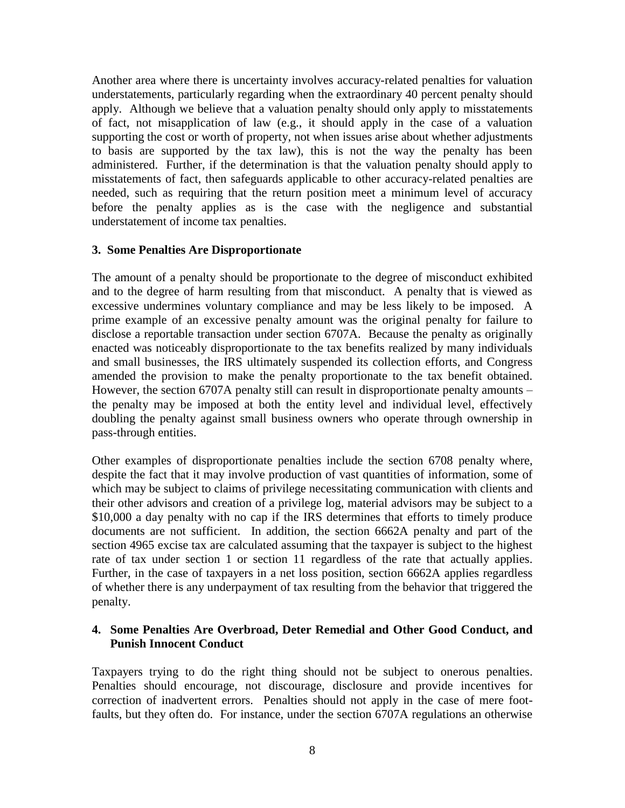Another area where there is uncertainty involves accuracy-related penalties for valuation understatements, particularly regarding when the extraordinary 40 percent penalty should apply. Although we believe that a valuation penalty should only apply to misstatements of fact, not misapplication of law (e.g., it should apply in the case of a valuation supporting the cost or worth of property, not when issues arise about whether adjustments to basis are supported by the tax law), this is not the way the penalty has been administered. Further, if the determination is that the valuation penalty should apply to misstatements of fact, then safeguards applicable to other accuracy-related penalties are needed, such as requiring that the return position meet a minimum level of accuracy before the penalty applies as is the case with the negligence and substantial understatement of income tax penalties.

#### **3. Some Penalties Are Disproportionate**

The amount of a penalty should be proportionate to the degree of misconduct exhibited and to the degree of harm resulting from that misconduct. A penalty that is viewed as excessive undermines voluntary compliance and may be less likely to be imposed. A prime example of an excessive penalty amount was the original penalty for failure to disclose a reportable transaction under section 6707A. Because the penalty as originally enacted was noticeably disproportionate to the tax benefits realized by many individuals and small businesses, the IRS ultimately suspended its collection efforts, and Congress amended the provision to make the penalty proportionate to the tax benefit obtained. However, the section 6707A penalty still can result in disproportionate penalty amounts – the penalty may be imposed at both the entity level and individual level, effectively doubling the penalty against small business owners who operate through ownership in pass-through entities.

Other examples of disproportionate penalties include the section 6708 penalty where, despite the fact that it may involve production of vast quantities of information, some of which may be subject to claims of privilege necessitating communication with clients and their other advisors and creation of a privilege log, material advisors may be subject to a \$10,000 a day penalty with no cap if the IRS determines that efforts to timely produce documents are not sufficient. In addition, the section 6662A penalty and part of the section 4965 excise tax are calculated assuming that the taxpayer is subject to the highest rate of tax under section 1 or section 11 regardless of the rate that actually applies. Further, in the case of taxpayers in a net loss position, section 6662A applies regardless of whether there is any underpayment of tax resulting from the behavior that triggered the penalty.

## **4. Some Penalties Are Overbroad, Deter Remedial and Other Good Conduct, and Punish Innocent Conduct**

Taxpayers trying to do the right thing should not be subject to onerous penalties. Penalties should encourage, not discourage, disclosure and provide incentives for correction of inadvertent errors. Penalties should not apply in the case of mere footfaults, but they often do. For instance, under the section 6707A regulations an otherwise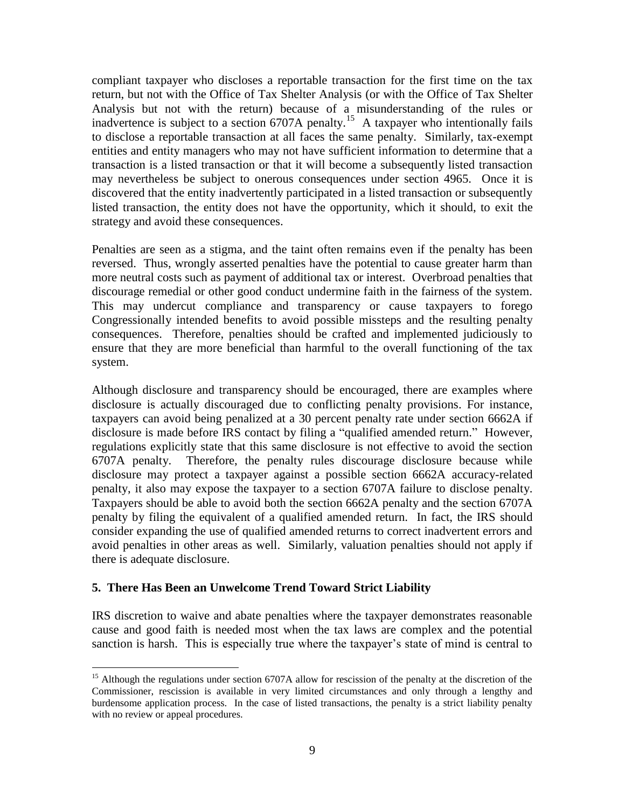compliant taxpayer who discloses a reportable transaction for the first time on the tax return, but not with the Office of Tax Shelter Analysis (or with the Office of Tax Shelter Analysis but not with the return) because of a misunderstanding of the rules or inadvertence is subject to a section 6707A penalty.<sup>15</sup> A taxpayer who intentionally fails to disclose a reportable transaction at all faces the same penalty. Similarly, tax-exempt entities and entity managers who may not have sufficient information to determine that a transaction is a listed transaction or that it will become a subsequently listed transaction may nevertheless be subject to onerous consequences under section 4965. Once it is discovered that the entity inadvertently participated in a listed transaction or subsequently listed transaction, the entity does not have the opportunity, which it should, to exit the strategy and avoid these consequences.

Penalties are seen as a stigma, and the taint often remains even if the penalty has been reversed. Thus, wrongly asserted penalties have the potential to cause greater harm than more neutral costs such as payment of additional tax or interest. Overbroad penalties that discourage remedial or other good conduct undermine faith in the fairness of the system. This may undercut compliance and transparency or cause taxpayers to forego Congressionally intended benefits to avoid possible missteps and the resulting penalty consequences. Therefore, penalties should be crafted and implemented judiciously to ensure that they are more beneficial than harmful to the overall functioning of the tax system.

Although disclosure and transparency should be encouraged, there are examples where disclosure is actually discouraged due to conflicting penalty provisions. For instance, taxpayers can avoid being penalized at a 30 percent penalty rate under section 6662A if disclosure is made before IRS contact by filing a "qualified amended return." However, regulations explicitly state that this same disclosure is not effective to avoid the section 6707A penalty. Therefore, the penalty rules discourage disclosure because while disclosure may protect a taxpayer against a possible section 6662A accuracy-related penalty, it also may expose the taxpayer to a section 6707A failure to disclose penalty. Taxpayers should be able to avoid both the section 6662A penalty and the section 6707A penalty by filing the equivalent of a qualified amended return. In fact, the IRS should consider expanding the use of qualified amended returns to correct inadvertent errors and avoid penalties in other areas as well. Similarly, valuation penalties should not apply if there is adequate disclosure.

#### **5. There Has Been an Unwelcome Trend Toward Strict Liability**

 $\overline{a}$ 

IRS discretion to waive and abate penalties where the taxpayer demonstrates reasonable cause and good faith is needed most when the tax laws are complex and the potential sanction is harsh. This is especially true where the taxpayer's state of mind is central to

<sup>&</sup>lt;sup>15</sup> Although the regulations under section 6707A allow for rescission of the penalty at the discretion of the Commissioner, rescission is available in very limited circumstances and only through a lengthy and burdensome application process. In the case of listed transactions, the penalty is a strict liability penalty with no review or appeal procedures.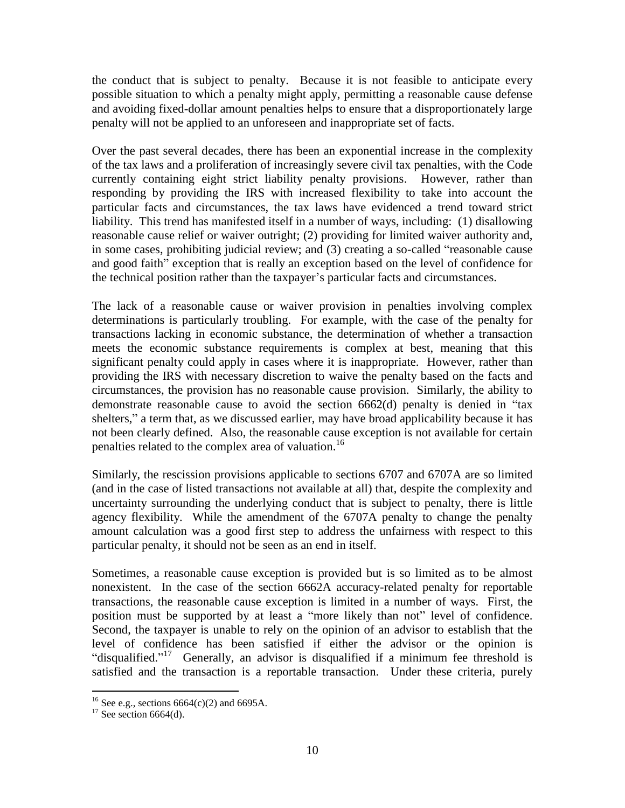the conduct that is subject to penalty. Because it is not feasible to anticipate every possible situation to which a penalty might apply, permitting a reasonable cause defense and avoiding fixed-dollar amount penalties helps to ensure that a disproportionately large penalty will not be applied to an unforeseen and inappropriate set of facts.

Over the past several decades, there has been an exponential increase in the complexity of the tax laws and a proliferation of increasingly severe civil tax penalties, with the Code currently containing eight strict liability penalty provisions. However, rather than responding by providing the IRS with increased flexibility to take into account the particular facts and circumstances, the tax laws have evidenced a trend toward strict liability. This trend has manifested itself in a number of ways, including: (1) disallowing reasonable cause relief or waiver outright; (2) providing for limited waiver authority and, in some cases, prohibiting judicial review; and (3) creating a so-called "reasonable cause and good faith" exception that is really an exception based on the level of confidence for the technical position rather than the taxpayer's particular facts and circumstances.

The lack of a reasonable cause or waiver provision in penalties involving complex determinations is particularly troubling. For example, with the case of the penalty for transactions lacking in economic substance, the determination of whether a transaction meets the economic substance requirements is complex at best, meaning that this significant penalty could apply in cases where it is inappropriate. However, rather than providing the IRS with necessary discretion to waive the penalty based on the facts and circumstances, the provision has no reasonable cause provision. Similarly, the ability to demonstrate reasonable cause to avoid the section 6662(d) penalty is denied in "tax shelters," a term that, as we discussed earlier, may have broad applicability because it has not been clearly defined. Also, the reasonable cause exception is not available for certain penalties related to the complex area of valuation.<sup>16</sup>

Similarly, the rescission provisions applicable to sections 6707 and 6707A are so limited (and in the case of listed transactions not available at all) that, despite the complexity and uncertainty surrounding the underlying conduct that is subject to penalty, there is little agency flexibility. While the amendment of the 6707A penalty to change the penalty amount calculation was a good first step to address the unfairness with respect to this particular penalty, it should not be seen as an end in itself.

Sometimes, a reasonable cause exception is provided but is so limited as to be almost nonexistent. In the case of the section 6662A accuracy-related penalty for reportable transactions, the reasonable cause exception is limited in a number of ways. First, the position must be supported by at least a "more likely than not" level of confidence. Second, the taxpayer is unable to rely on the opinion of an advisor to establish that the level of confidence has been satisfied if either the advisor or the opinion is "disqualified."<sup>17</sup> Generally, an advisor is disqualified if a minimum fee threshold is satisfied and the transaction is a reportable transaction. Under these criteria, purely

<sup>&</sup>lt;sup>16</sup> See e.g., sections  $6664(c)(2)$  and  $6695A$ .

 $17$  See section 6664(d).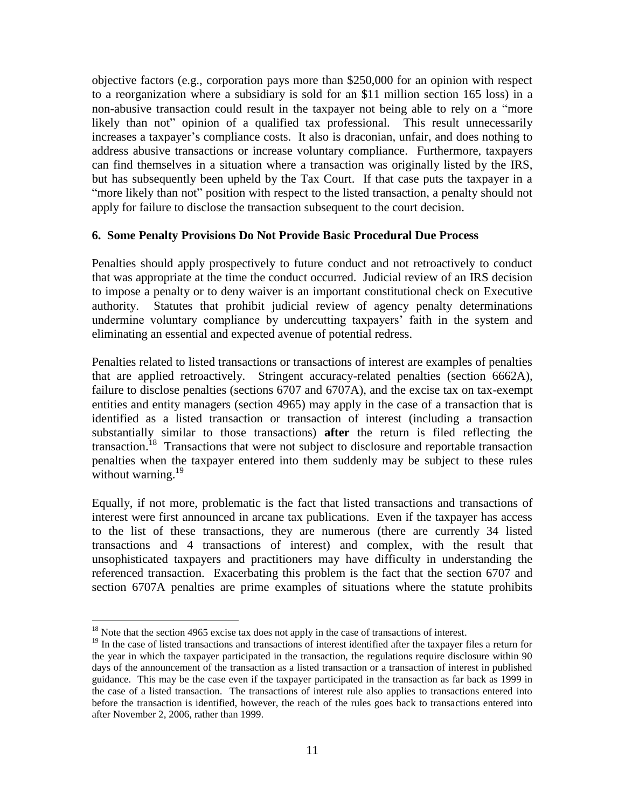objective factors (e.g., corporation pays more than \$250,000 for an opinion with respect to a reorganization where a subsidiary is sold for an \$11 million section 165 loss) in a non-abusive transaction could result in the taxpayer not being able to rely on a "more likely than not" opinion of a qualified tax professional. This result unnecessarily increases a taxpayer's compliance costs. It also is draconian, unfair, and does nothing to address abusive transactions or increase voluntary compliance. Furthermore, taxpayers can find themselves in a situation where a transaction was originally listed by the IRS, but has subsequently been upheld by the Tax Court. If that case puts the taxpayer in a "more likely than not" position with respect to the listed transaction, a penalty should not apply for failure to disclose the transaction subsequent to the court decision.

#### **6. Some Penalty Provisions Do Not Provide Basic Procedural Due Process**

Penalties should apply prospectively to future conduct and not retroactively to conduct that was appropriate at the time the conduct occurred. Judicial review of an IRS decision to impose a penalty or to deny waiver is an important constitutional check on Executive authority. Statutes that prohibit judicial review of agency penalty determinations undermine voluntary compliance by undercutting taxpayers' faith in the system and eliminating an essential and expected avenue of potential redress.

Penalties related to listed transactions or transactions of interest are examples of penalties that are applied retroactively. Stringent accuracy-related penalties (section 6662A), failure to disclose penalties (sections 6707 and 6707A), and the excise tax on tax-exempt entities and entity managers (section 4965) may apply in the case of a transaction that is identified as a listed transaction or transaction of interest (including a transaction substantially similar to those transactions) **after** the return is filed reflecting the transaction.<sup>18</sup> Transactions that were not subject to disclosure and reportable transaction penalties when the taxpayer entered into them suddenly may be subject to these rules without warning.<sup>19</sup>

Equally, if not more, problematic is the fact that listed transactions and transactions of interest were first announced in arcane tax publications. Even if the taxpayer has access to the list of these transactions, they are numerous (there are currently 34 listed transactions and 4 transactions of interest) and complex, with the result that unsophisticated taxpayers and practitioners may have difficulty in understanding the referenced transaction. Exacerbating this problem is the fact that the section 6707 and section 6707A penalties are prime examples of situations where the statute prohibits

<sup>&</sup>lt;sup>18</sup> Note that the section 4965 excise tax does not apply in the case of transactions of interest.

<sup>&</sup>lt;sup>19</sup> In the case of listed transactions and transactions of interest identified after the taxpayer files a return for the year in which the taxpayer participated in the transaction, the regulations require disclosure within 90 days of the announcement of the transaction as a listed transaction or a transaction of interest in published guidance. This may be the case even if the taxpayer participated in the transaction as far back as 1999 in the case of a listed transaction. The transactions of interest rule also applies to transactions entered into before the transaction is identified, however, the reach of the rules goes back to transactions entered into after November 2, 2006, rather than 1999.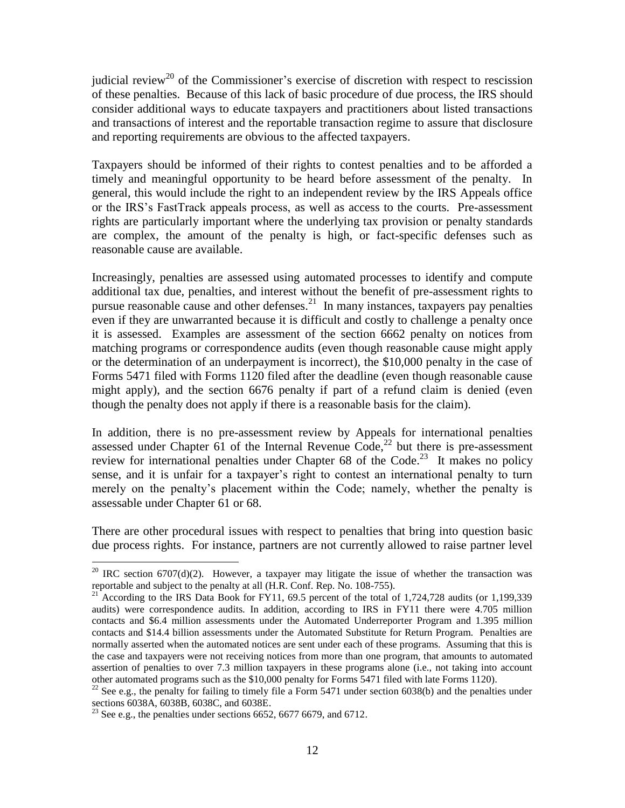judicial review<sup>20</sup> of the Commissioner's exercise of discretion with respect to rescission of these penalties. Because of this lack of basic procedure of due process, the IRS should consider additional ways to educate taxpayers and practitioners about listed transactions and transactions of interest and the reportable transaction regime to assure that disclosure and reporting requirements are obvious to the affected taxpayers.

Taxpayers should be informed of their rights to contest penalties and to be afforded a timely and meaningful opportunity to be heard before assessment of the penalty. In general, this would include the right to an independent review by the IRS Appeals office or the IRS's FastTrack appeals process, as well as access to the courts. Pre-assessment rights are particularly important where the underlying tax provision or penalty standards are complex, the amount of the penalty is high, or fact-specific defenses such as reasonable cause are available.

Increasingly, penalties are assessed using automated processes to identify and compute additional tax due, penalties, and interest without the benefit of pre-assessment rights to pursue reasonable cause and other defenses.<sup>21</sup> In many instances, taxpayers pay penalties even if they are unwarranted because it is difficult and costly to challenge a penalty once it is assessed. Examples are assessment of the section 6662 penalty on notices from matching programs or correspondence audits (even though reasonable cause might apply or the determination of an underpayment is incorrect), the \$10,000 penalty in the case of Forms 5471 filed with Forms 1120 filed after the deadline (even though reasonable cause might apply), and the section 6676 penalty if part of a refund claim is denied (even though the penalty does not apply if there is a reasonable basis for the claim).

In addition, there is no pre-assessment review by Appeals for international penalties assessed under Chapter  $61$  of the Internal Revenue Code,<sup>22</sup> but there is pre-assessment review for international penalties under Chapter  $68$  of the Code.<sup>23</sup> It makes no policy sense, and it is unfair for a taxpayer's right to contest an international penalty to turn merely on the penalty's placement within the Code; namely, whether the penalty is assessable under Chapter 61 or 68.

There are other procedural issues with respect to penalties that bring into question basic due process rights. For instance, partners are not currently allowed to raise partner level

<sup>&</sup>lt;sup>20</sup> IRC section 6707(d)(2). However, a taxpayer may litigate the issue of whether the transaction was reportable and subject to the penalty at all (H.R. Conf. Rep. No. 108-755).

<sup>&</sup>lt;sup>21</sup> According to the IRS Data Book for FY11, 69.5 percent of the total of 1,724,728 audits (or 1,199,339 audits) were correspondence audits. In addition, according to IRS in FY11 there were 4.705 million contacts and \$6.4 million assessments under the Automated Underreporter Program and 1.395 million contacts and \$14.4 billion assessments under the Automated Substitute for Return Program. Penalties are normally asserted when the automated notices are sent under each of these programs. Assuming that this is the case and taxpayers were not receiving notices from more than one program, that amounts to automated assertion of penalties to over 7.3 million taxpayers in these programs alone (i.e., not taking into account other automated programs such as the \$10,000 penalty for Forms 5471 filed with late Forms 1120).

<sup>&</sup>lt;sup>22</sup> See e.g., the penalty for failing to timely file a Form 5471 under section 6038(b) and the penalties under sections 6038A, 6038B, 6038C, and 6038E.

<sup>&</sup>lt;sup>23</sup> See e.g., the penalties under sections 6652, 6677 6679, and 6712.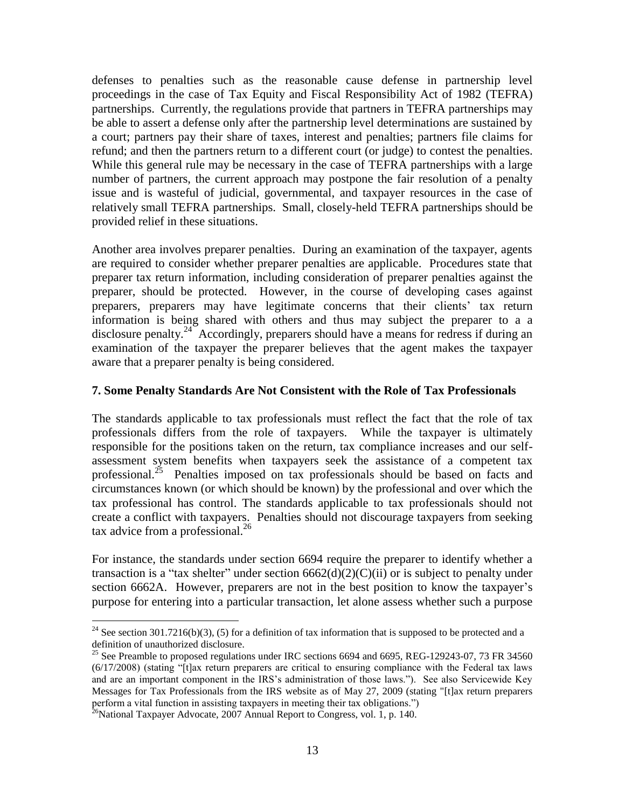defenses to penalties such as the reasonable cause defense in partnership level proceedings in the case of Tax Equity and Fiscal Responsibility Act of 1982 (TEFRA) partnerships. Currently, the regulations provide that partners in TEFRA partnerships may be able to assert a defense only after the partnership level determinations are sustained by a court; partners pay their share of taxes, interest and penalties; partners file claims for refund; and then the partners return to a different court (or judge) to contest the penalties. While this general rule may be necessary in the case of TEFRA partnerships with a large number of partners, the current approach may postpone the fair resolution of a penalty issue and is wasteful of judicial, governmental, and taxpayer resources in the case of relatively small TEFRA partnerships. Small, closely-held TEFRA partnerships should be provided relief in these situations.

Another area involves preparer penalties. During an examination of the taxpayer, agents are required to consider whether preparer penalties are applicable. Procedures state that preparer tax return information, including consideration of preparer penalties against the preparer, should be protected. However, in the course of developing cases against preparers, preparers may have legitimate concerns that their clients' tax return information is being shared with others and thus may subject the preparer to a a disclosure penalty.<sup>24</sup> Accordingly, preparers should have a means for redress if during an examination of the taxpayer the preparer believes that the agent makes the taxpayer aware that a preparer penalty is being considered.

#### **7. Some Penalty Standards Are Not Consistent with the Role of Tax Professionals**

The standards applicable to tax professionals must reflect the fact that the role of tax professionals differs from the role of taxpayers. While the taxpayer is ultimately responsible for the positions taken on the return, tax compliance increases and our selfassessment system benefits when taxpayers seek the assistance of a competent tax professional.<sup>25</sup> Penalties imposed on tax professionals should be based on facts and circumstances known (or which should be known) by the professional and over which the tax professional has control. The standards applicable to tax professionals should not create a conflict with taxpayers. Penalties should not discourage taxpayers from seeking tax advice from a professional. $^{26}$ 

For instance, the standards under section 6694 require the preparer to identify whether a transaction is a "tax shelter" under section  $6662(d)(2)(C)(ii)$  or is subject to penalty under section 6662A. However, preparers are not in the best position to know the taxpayer's purpose for entering into a particular transaction, let alone assess whether such a purpose

<sup>&</sup>lt;sup>24</sup> See section 301.7216(b)(3), (5) for a definition of tax information that is supposed to be protected and a definition of unauthorized disclosure.

<sup>&</sup>lt;sup>25</sup> See Preamble to proposed regulations under IRC sections 6694 and 6695, REG-129243-07, 73 FR 34560 (6/17/2008) (stating "[t]ax return preparers are critical to ensuring compliance with the Federal tax laws and are an important component in the IRS's administration of those laws."). See also Servicewide Key Messages for Tax Professionals from the IRS website as of May 27, 2009 (stating "[t]ax return preparers perform a vital function in assisting taxpayers in meeting their tax obligations.")

 $^{26}$ National Taxpayer Advocate, 2007 Annual Report to Congress, vol. 1, p. 140.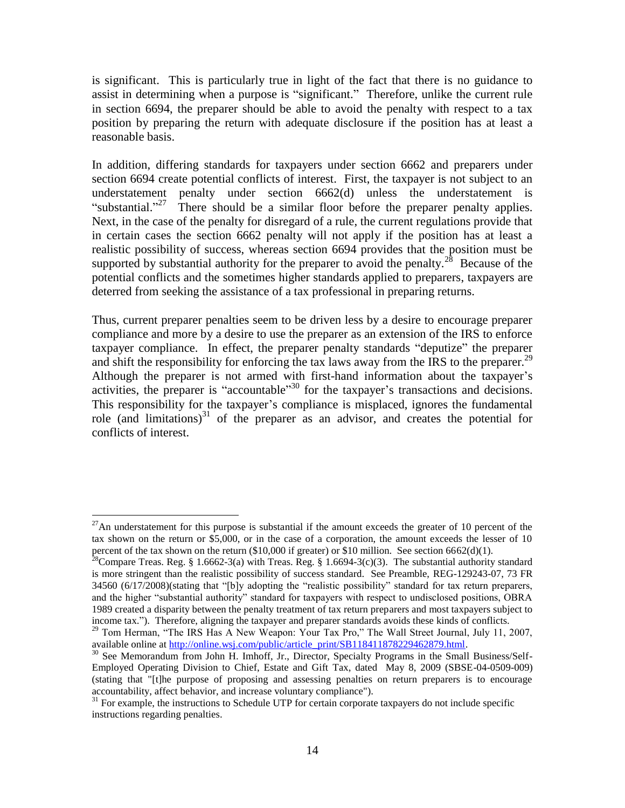is significant. This is particularly true in light of the fact that there is no guidance to assist in determining when a purpose is "significant." Therefore, unlike the current rule in section 6694, the preparer should be able to avoid the penalty with respect to a tax position by preparing the return with adequate disclosure if the position has at least a reasonable basis.

In addition, differing standards for taxpayers under section 6662 and preparers under section 6694 create potential conflicts of interest. First, the taxpayer is not subject to an understatement penalty under section 6662(d) unless the understatement is "substantial."<sup>27</sup> There should be a similar floor before the preparer penalty applies. Next, in the case of the penalty for disregard of a rule, the current regulations provide that in certain cases the section 6662 penalty will not apply if the position has at least a realistic possibility of success, whereas section 6694 provides that the position must be supported by substantial authority for the preparer to avoid the penalty.<sup>28</sup> Because of the potential conflicts and the sometimes higher standards applied to preparers, taxpayers are deterred from seeking the assistance of a tax professional in preparing returns.

Thus, current preparer penalties seem to be driven less by a desire to encourage preparer compliance and more by a desire to use the preparer as an extension of the IRS to enforce taxpayer compliance. In effect, the preparer penalty standards "deputize" the preparer and shift the responsibility for enforcing the tax laws away from the IRS to the preparer.<sup>29</sup> Although the preparer is not armed with first-hand information about the taxpayer's activities, the preparer is "accountable"<sup>30</sup> for the taxpayer's transactions and decisions. This responsibility for the taxpayer's compliance is misplaced, ignores the fundamental role (and limitations)<sup>31</sup> of the preparer as an advisor, and creates the potential for conflicts of interest.

 $^{27}$ An understatement for this purpose is substantial if the amount exceeds the greater of 10 percent of the tax shown on the return or \$5,000, or in the case of a corporation, the amount exceeds the lesser of 10 percent of the tax shown on the return  $(\$10,000$  if greater) or  $\$10$  million. See section 6662(d)(1).

<sup>&</sup>lt;sup>28</sup>Compare Treas. Reg. § 1.6662-3(a) with Treas. Reg. § 1.6694-3(c)(3). The substantial authority standard is more stringent than the realistic possibility of success standard. See Preamble, REG-129243-07, 73 FR 34560 (6/17/2008)(stating that "[b]y adopting the "realistic possibility" standard for tax return preparers, and the higher "substantial authority" standard for taxpayers with respect to undisclosed positions, OBRA 1989 created a disparity between the penalty treatment of tax return preparers and most taxpayers subject to income tax."). Therefore, aligning the taxpayer and preparer standards avoids these kinds of conflicts.

<sup>&</sup>lt;sup>29</sup> Tom Herman, "The IRS Has A New Weapon: Your Tax Pro," The Wall Street Journal, July 11, 2007, available online at [http://online.wsj.com/public/article\\_print/SB118411878229462879.html.](http://online.wsj.com/public/article_print/SB118411878229462879.html)

<sup>&</sup>lt;sup>30</sup> See Memorandum from John H. Imhoff, Jr., Director, Specialty Programs in the Small Business/Self-Employed Operating Division to Chief, Estate and Gift Tax, dated May 8, 2009 (SBSE-04-0509-009) (stating that "[t]he purpose of proposing and assessing penalties on return preparers is to encourage accountability, affect behavior, and increase voluntary compliance").

<sup>&</sup>lt;sup>31</sup> For example, the instructions to Schedule UTP for certain corporate taxpayers do not include specific instructions regarding penalties.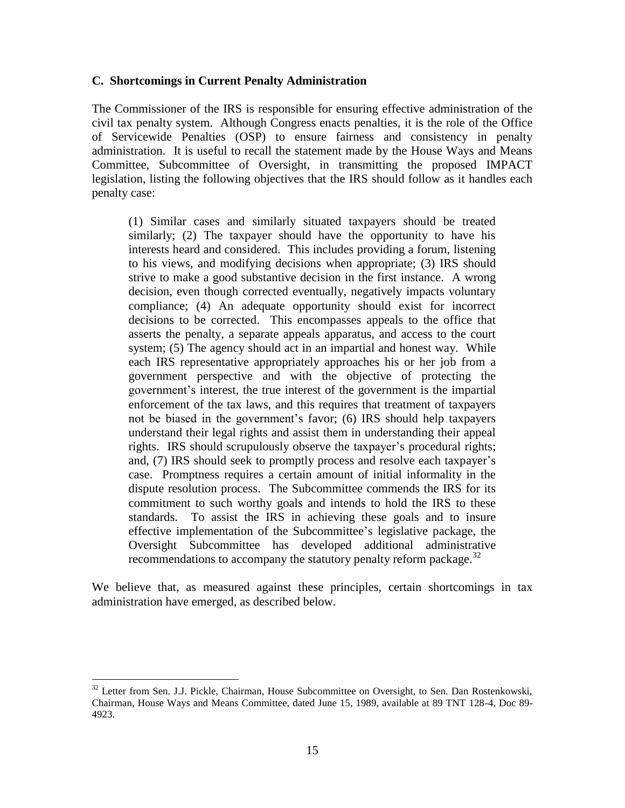#### **C. Shortcomings in Current Penalty Administration**

The Commissioner of the IRS is responsible for ensuring effective administration of the civil tax penalty system. Although Congress enacts penalties, it is the role of the Office of Servicewide Penalties (OSP) to ensure fairness and consistency in penalty administration. It is useful to recall the statement made by the House Ways and Means Committee, Subcommittee of Oversight, in transmitting the proposed IMPACT legislation, listing the following objectives that the IRS should follow as it handles each penalty case:

(1) Similar cases and similarly situated taxpayers should be treated similarly; (2) The taxpayer should have the opportunity to have his interests heard and considered. This includes providing a forum, listening to his views, and modifying decisions when appropriate; (3) IRS should strive to make a good substantive decision in the first instance. A wrong decision, even though corrected eventually, negatively impacts voluntary compliance; (4) An adequate opportunity should exist for incorrect decisions to be corrected. This encompasses appeals to the office that asserts the penalty, a separate appeals apparatus, and access to the court system; (5) The agency should act in an impartial and honest way. While each IRS representative appropriately approaches his or her job from a government perspective and with the objective of protecting the government's interest, the true interest of the government is the impartial enforcement of the tax laws, and this requires that treatment of taxpayers not be biased in the government's favor; (6) IRS should help taxpayers understand their legal rights and assist them in understanding their appeal rights. IRS should scrupulously observe the taxpayer's procedural rights; and, (7) IRS should seek to promptly process and resolve each taxpayer's case. Promptness requires a certain amount of initial informality in the dispute resolution process. The Subcommittee commends the IRS for its commitment to such worthy goals and intends to hold the IRS to these standards. To assist the IRS in achieving these goals and to insure effective implementation of the Subcommittee's legislative package, the Oversight Subcommittee has developed additional administrative recommendations to accompany the statutory penalty reform package.<sup>32</sup>

We believe that, as measured against these principles, certain shortcomings in tax administration have emerged, as described below.

 $32$  Letter from Sen. J.J. Pickle, Chairman, House Subcommittee on Oversight, to Sen. Dan Rostenkowski, Chairman, House Ways and Means Committee, dated June 15, 1989, available at 89 TNT 128-4, Doc 89- 4923.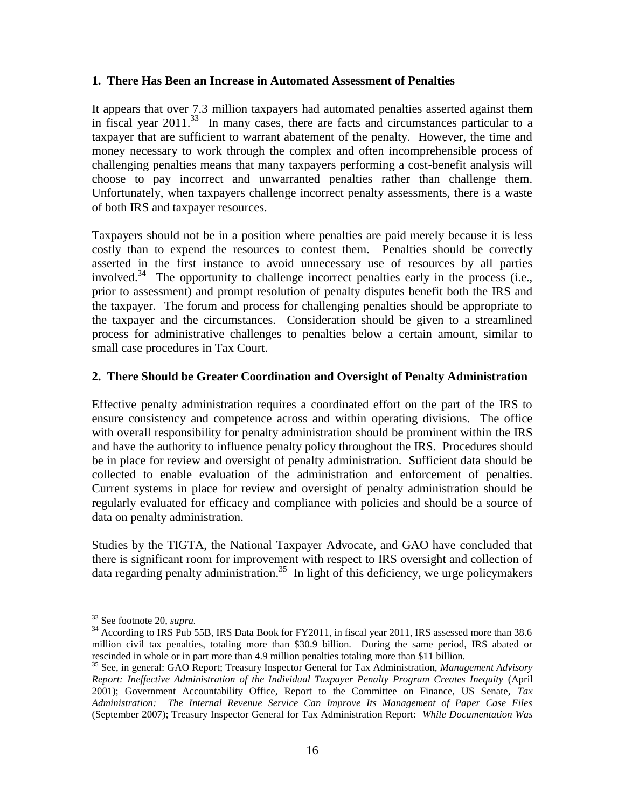#### **1. There Has Been an Increase in Automated Assessment of Penalties**

It appears that over 7.3 million taxpayers had automated penalties asserted against them in fiscal year 2011. 33 In many cases, there are facts and circumstances particular to a taxpayer that are sufficient to warrant abatement of the penalty. However, the time and money necessary to work through the complex and often incomprehensible process of challenging penalties means that many taxpayers performing a cost-benefit analysis will choose to pay incorrect and unwarranted penalties rather than challenge them. Unfortunately, when taxpayers challenge incorrect penalty assessments, there is a waste of both IRS and taxpayer resources.

Taxpayers should not be in a position where penalties are paid merely because it is less costly than to expend the resources to contest them. Penalties should be correctly asserted in the first instance to avoid unnecessary use of resources by all parties involved.<sup>34</sup> The opportunity to challenge incorrect penalties early in the process (i.e., prior to assessment) and prompt resolution of penalty disputes benefit both the IRS and the taxpayer. The forum and process for challenging penalties should be appropriate to the taxpayer and the circumstances. Consideration should be given to a streamlined process for administrative challenges to penalties below a certain amount, similar to small case procedures in Tax Court.

#### **2. There Should be Greater Coordination and Oversight of Penalty Administration**

Effective penalty administration requires a coordinated effort on the part of the IRS to ensure consistency and competence across and within operating divisions. The office with overall responsibility for penalty administration should be prominent within the IRS and have the authority to influence penalty policy throughout the IRS. Procedures should be in place for review and oversight of penalty administration. Sufficient data should be collected to enable evaluation of the administration and enforcement of penalties. Current systems in place for review and oversight of penalty administration should be regularly evaluated for efficacy and compliance with policies and should be a source of data on penalty administration.

Studies by the TIGTA, the National Taxpayer Advocate, and GAO have concluded that there is significant room for improvement with respect to IRS oversight and collection of data regarding penalty administration.<sup>35</sup> In light of this deficiency, we urge policymakers

<sup>33</sup> See footnote 20, *supra.*

<sup>&</sup>lt;sup>34</sup> According to IRS Pub 55B, IRS Data Book for FY2011, in fiscal year 2011, IRS assessed more than 38.6 million civil tax penalties, totaling more than \$30.9 billion. During the same period, IRS abated or rescinded in whole or in part more than 4.9 million penalties totaling more than \$11 billion.

<sup>35</sup> See, in general: GAO Report; Treasury Inspector General for Tax Administration, *Management Advisory Report: Ineffective Administration of the Individual Taxpayer Penalty Program Creates Inequity* (April 2001); Government Accountability Office, Report to the Committee on Finance, US Senate, *Tax Administration: The Internal Revenue Service Can Improve Its Management of Paper Case Files*  (September 2007); Treasury Inspector General for Tax Administration Report: *While Documentation Was*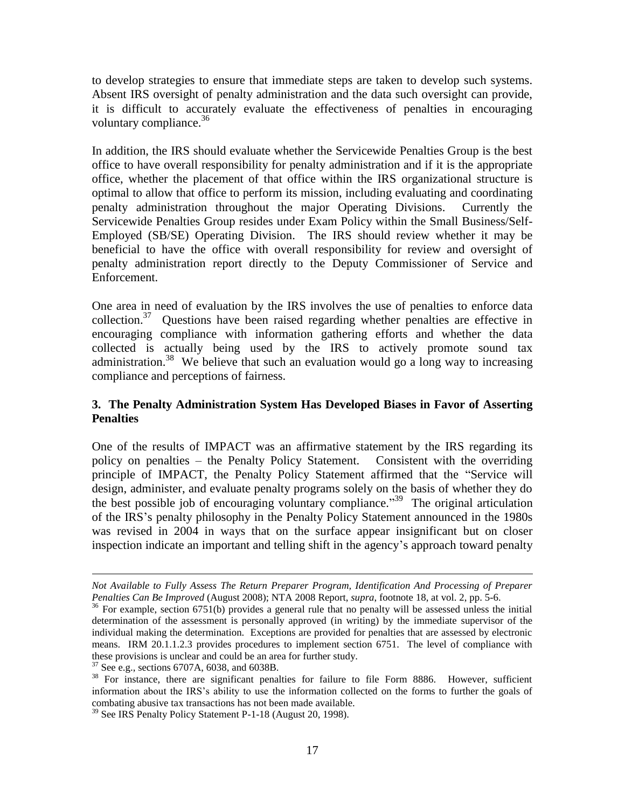to develop strategies to ensure that immediate steps are taken to develop such systems. Absent IRS oversight of penalty administration and the data such oversight can provide, it is difficult to accurately evaluate the effectiveness of penalties in encouraging voluntary compliance.<sup>36</sup>

In addition, the IRS should evaluate whether the Servicewide Penalties Group is the best office to have overall responsibility for penalty administration and if it is the appropriate office, whether the placement of that office within the IRS organizational structure is optimal to allow that office to perform its mission, including evaluating and coordinating penalty administration throughout the major Operating Divisions. Currently the Servicewide Penalties Group resides under Exam Policy within the Small Business/Self-Employed (SB/SE) Operating Division. The IRS should review whether it may be beneficial to have the office with overall responsibility for review and oversight of penalty administration report directly to the Deputy Commissioner of Service and Enforcement.

One area in need of evaluation by the IRS involves the use of penalties to enforce data collection.<sup>37</sup> Questions have been raised regarding whether penalties are effective in encouraging compliance with information gathering efforts and whether the data collected is actually being used by the IRS to actively promote sound tax administration.<sup>38</sup> We believe that such an evaluation would go a long way to increasing compliance and perceptions of fairness.

## **3. The Penalty Administration System Has Developed Biases in Favor of Asserting Penalties**

One of the results of IMPACT was an affirmative statement by the IRS regarding its policy on penalties – the Penalty Policy Statement. Consistent with the overriding principle of IMPACT, the Penalty Policy Statement affirmed that the "Service will design, administer, and evaluate penalty programs solely on the basis of whether they do the best possible job of encouraging voluntary compliance."<sup>39</sup> The original articulation of the IRS's penalty philosophy in the Penalty Policy Statement announced in the 1980s was revised in 2004 in ways that on the surface appear insignificant but on closer inspection indicate an important and telling shift in the agency's approach toward penalty

*Not Available to Fully Assess The Return Preparer Program, Identification And Processing of Preparer Penalties Can Be Improved* (August 2008); NTA 2008 Report, *supra*, footnote 18, at vol. 2, pp. 5-6.

<sup>&</sup>lt;sup>36</sup> For example, section 6751(b) provides a general rule that no penalty will be assessed unless the initial determination of the assessment is personally approved (in writing) by the immediate supervisor of the individual making the determination. Exceptions are provided for penalties that are assessed by electronic means. IRM 20.1.1.2.3 provides procedures to implement section 6751. The level of compliance with these provisions is unclear and could be an area for further study.

<sup>37</sup> See e.g., sections 6707A, 6038, and 6038B.

<sup>&</sup>lt;sup>38</sup> For instance, there are significant penalties for failure to file Form 8886. However, sufficient information about the IRS's ability to use the information collected on the forms to further the goals of combating abusive tax transactions has not been made available.

<sup>&</sup>lt;sup>39</sup> See IRS Penalty Policy Statement P-1-18 (August 20, 1998).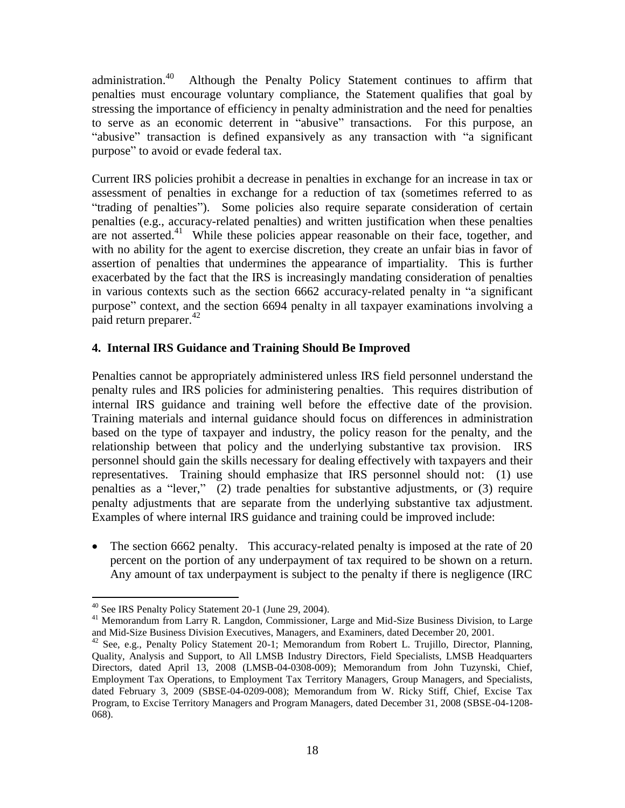administration.<sup>40</sup> Although the Penalty Policy Statement continues to affirm that penalties must encourage voluntary compliance, the Statement qualifies that goal by stressing the importance of efficiency in penalty administration and the need for penalties to serve as an economic deterrent in "abusive" transactions. For this purpose, an "abusive" transaction is defined expansively as any transaction with "a significant purpose" to avoid or evade federal tax.

Current IRS policies prohibit a decrease in penalties in exchange for an increase in tax or assessment of penalties in exchange for a reduction of tax (sometimes referred to as "trading of penalties"). Some policies also require separate consideration of certain penalties (e.g., accuracy-related penalties) and written justification when these penalties are not asserted.<sup>41</sup> While these policies appear reasonable on their face, together, and with no ability for the agent to exercise discretion, they create an unfair bias in favor of assertion of penalties that undermines the appearance of impartiality. This is further exacerbated by the fact that the IRS is increasingly mandating consideration of penalties in various contexts such as the section 6662 accuracy-related penalty in "a significant purpose" context, and the section 6694 penalty in all taxpayer examinations involving a paid return preparer.<sup>42</sup>

# **4. Internal IRS Guidance and Training Should Be Improved**

Penalties cannot be appropriately administered unless IRS field personnel understand the penalty rules and IRS policies for administering penalties. This requires distribution of internal IRS guidance and training well before the effective date of the provision. Training materials and internal guidance should focus on differences in administration based on the type of taxpayer and industry, the policy reason for the penalty, and the relationship between that policy and the underlying substantive tax provision. IRS personnel should gain the skills necessary for dealing effectively with taxpayers and their representatives. Training should emphasize that IRS personnel should not: (1) use penalties as a "lever," (2) trade penalties for substantive adjustments, or (3) require penalty adjustments that are separate from the underlying substantive tax adjustment. Examples of where internal IRS guidance and training could be improved include:

• The section 6662 penalty. This accuracy-related penalty is imposed at the rate of 20 percent on the portion of any underpayment of tax required to be shown on a return. Any amount of tax underpayment is subject to the penalty if there is negligence (IRC

<sup>&</sup>lt;sup>40</sup> See IRS Penalty Policy Statement 20-1 (June 29, 2004).

<sup>&</sup>lt;sup>41</sup> Memorandum from Larry R. Langdon, Commissioner, Large and Mid-Size Business Division, to Large and Mid-Size Business Division Executives, Managers, and Examiners, dated December 20, 2001.

<sup>&</sup>lt;sup>42</sup> See, e.g., Penalty Policy Statement 20-1; Memorandum from Robert L. Trujillo, Director, Planning, Quality, Analysis and Support, to All LMSB Industry Directors, Field Specialists, LMSB Headquarters Directors, dated April 13, 2008 (LMSB-04-0308-009); Memorandum from John Tuzynski, Chief, Employment Tax Operations, to Employment Tax Territory Managers, Group Managers, and Specialists, dated February 3, 2009 (SBSE-04-0209-008); Memorandum from W. Ricky Stiff, Chief, Excise Tax Program, to Excise Territory Managers and Program Managers, dated December 31, 2008 (SBSE-04-1208- 068).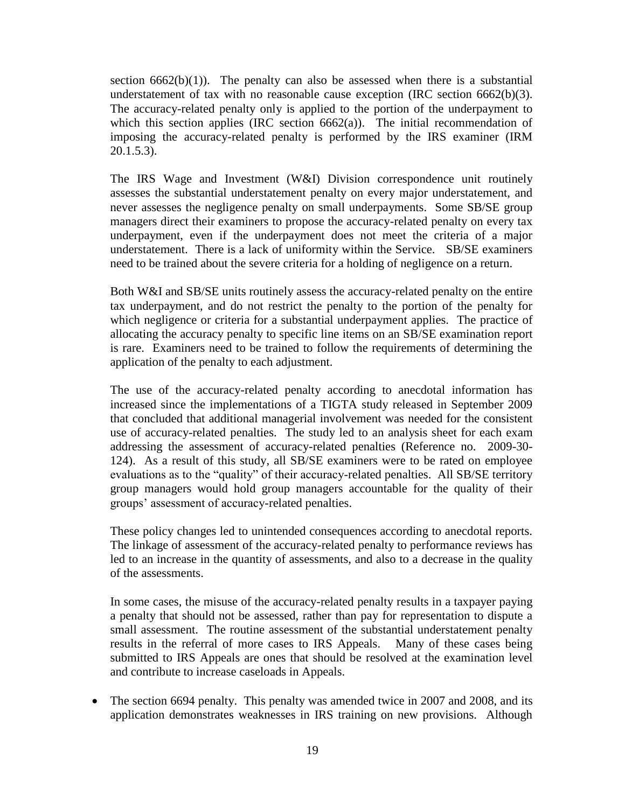section  $6662(b)(1)$ ). The penalty can also be assessed when there is a substantial understatement of tax with no reasonable cause exception (IRC section  $6662(b)(3)$ . The accuracy-related penalty only is applied to the portion of the underpayment to which this section applies (IRC section  $6662(a)$ ). The initial recommendation of imposing the accuracy-related penalty is performed by the IRS examiner (IRM 20.1.5.3).

The IRS Wage and Investment (W&I) Division correspondence unit routinely assesses the substantial understatement penalty on every major understatement, and never assesses the negligence penalty on small underpayments. Some SB/SE group managers direct their examiners to propose the accuracy-related penalty on every tax underpayment, even if the underpayment does not meet the criteria of a major understatement. There is a lack of uniformity within the Service. SB/SE examiners need to be trained about the severe criteria for a holding of negligence on a return.

Both W&I and SB/SE units routinely assess the accuracy-related penalty on the entire tax underpayment, and do not restrict the penalty to the portion of the penalty for which negligence or criteria for a substantial underpayment applies. The practice of allocating the accuracy penalty to specific line items on an SB/SE examination report is rare. Examiners need to be trained to follow the requirements of determining the application of the penalty to each adjustment.

The use of the accuracy-related penalty according to anecdotal information has increased since the implementations of a TIGTA study released in September 2009 that concluded that additional managerial involvement was needed for the consistent use of accuracy-related penalties. The study led to an analysis sheet for each exam addressing the assessment of accuracy-related penalties (Reference no. 2009-30- 124). As a result of this study, all SB/SE examiners were to be rated on employee evaluations as to the "quality" of their accuracy-related penalties. All SB/SE territory group managers would hold group managers accountable for the quality of their groups' assessment of accuracy-related penalties.

These policy changes led to unintended consequences according to anecdotal reports. The linkage of assessment of the accuracy-related penalty to performance reviews has led to an increase in the quantity of assessments, and also to a decrease in the quality of the assessments.

In some cases, the misuse of the accuracy-related penalty results in a taxpayer paying a penalty that should not be assessed, rather than pay for representation to dispute a small assessment. The routine assessment of the substantial understatement penalty results in the referral of more cases to IRS Appeals. Many of these cases being submitted to IRS Appeals are ones that should be resolved at the examination level and contribute to increase caseloads in Appeals.

• The section 6694 penalty. This penalty was amended twice in 2007 and 2008, and its application demonstrates weaknesses in IRS training on new provisions. Although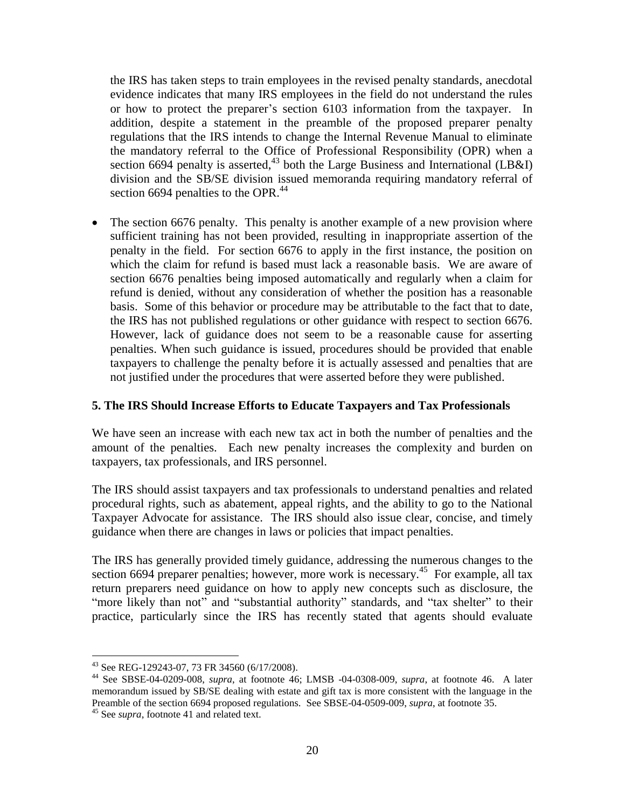the IRS has taken steps to train employees in the revised penalty standards, anecdotal evidence indicates that many IRS employees in the field do not understand the rules or how to protect the preparer's section 6103 information from the taxpayer. In addition, despite a statement in the preamble of the proposed preparer penalty regulations that the IRS intends to change the Internal Revenue Manual to eliminate the mandatory referral to the Office of Professional Responsibility (OPR) when a section 6694 penalty is asserted,  $43$  both the Large Business and International (LB&I) division and the SB/SE division issued memoranda requiring mandatory referral of section 6694 penalties to the OPR.<sup>44</sup>

 The section 6676 penalty. This penalty is another example of a new provision where sufficient training has not been provided, resulting in inappropriate assertion of the penalty in the field. For section 6676 to apply in the first instance, the position on which the claim for refund is based must lack a reasonable basis. We are aware of section 6676 penalties being imposed automatically and regularly when a claim for refund is denied, without any consideration of whether the position has a reasonable basis. Some of this behavior or procedure may be attributable to the fact that to date, the IRS has not published regulations or other guidance with respect to section 6676. However, lack of guidance does not seem to be a reasonable cause for asserting penalties. When such guidance is issued, procedures should be provided that enable taxpayers to challenge the penalty before it is actually assessed and penalties that are not justified under the procedures that were asserted before they were published.

#### **5. The IRS Should Increase Efforts to Educate Taxpayers and Tax Professionals**

We have seen an increase with each new tax act in both the number of penalties and the amount of the penalties. Each new penalty increases the complexity and burden on taxpayers, tax professionals, and IRS personnel.

The IRS should assist taxpayers and tax professionals to understand penalties and related procedural rights, such as abatement, appeal rights, and the ability to go to the National Taxpayer Advocate for assistance. The IRS should also issue clear, concise, and timely guidance when there are changes in laws or policies that impact penalties.

The IRS has generally provided timely guidance, addressing the numerous changes to the section 6694 preparer penalties; however, more work is necessary.<sup>45</sup> For example, all tax return preparers need guidance on how to apply new concepts such as disclosure, the "more likely than not" and "substantial authority" standards, and "tax shelter" to their practice, particularly since the IRS has recently stated that agents should evaluate

<sup>43</sup> See REG-129243-07, 73 FR 34560 (6/17/2008).

<sup>44</sup> See SBSE-04-0209-008, *supra*, at footnote 46; LMSB -04-0308-009, *supra*, at footnote 46. A later memorandum issued by SB/SE dealing with estate and gift tax is more consistent with the language in the Preamble of the section 6694 proposed regulations. See SBSE-04-0509-009, *supra*, at footnote 35.

<sup>&</sup>lt;sup>45</sup> See *supra*, footnote 41 and related text.